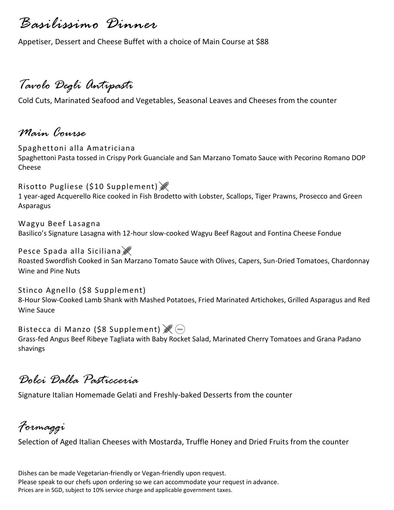*Basilissimo Dinner*

Appetiser, Dessert and Cheese Buffet with a choice of Main Course at \$88

# *Tavolo Degli Antipasti*

Cold Cuts, Marinated Seafood and Vegetables, Seasonal Leaves and Cheeses from the counter

### *Main Course*

Spaghettoni alla Amatriciana Spaghettoni Pasta tossed in Crispy Pork Guanciale and San Marzano Tomato Sauce with Pecorino Romano DOP Cheese

Risotto Pugliese (\$10 Supplement) 1 year-aged Acquerello Rice cooked in Fish Brodetto with Lobster, Scallops, Tiger Prawns, Prosecco and Green Asparagus

Wagyu Beef Lasagna Basilico's Signature Lasagna with 12-hour slow-cooked Wagyu Beef Ragout and Fontina Cheese Fondue

### Pesce Spada alla Siciliana

Roasted Swordfish Cooked in San Marzano Tomato Sauce with Olives, Capers, Sun-Dried Tomatoes, Chardonnay Wine and Pine Nuts

#### Stinco Agnello (\$8 Supplement)

8-Hour Slow-Cooked Lamb Shank with Mashed Potatoes, Fried Marinated Artichokes, Grilled Asparagus and Red Wine Sauce

Bistecca di Manzo (\$8 Supplement)  $\mathscr{F}$  (Keto) Grass-fed Angus Beef Ribeye Tagliata with Baby Rocket Salad, Marinated Cherry Tomatoes and Grana Padano shavings

## *Dolci Dalla Pasticceria*

Signature Italian Homemade Gelati and Freshly-baked Desserts from the counter

*Formaggi*

Selection of Aged Italian Cheeses with Mostarda, Truffle Honey and Dried Fruits from the counter

Dishes can be made Vegetarian-friendly or Vegan-friendly upon request. Please speak to our chefs upon ordering so we can accommodate your request in advance. Prices are in SGD, subject to 10% service charge and applicable government taxes.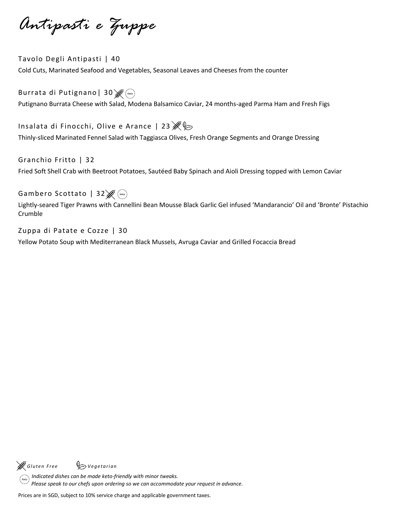*Antipasti e Zuppe*

Tavolo Degli Antipasti | 40 Cold Cuts, Marinated Seafood and Vegetables, Seasonal Leaves and Cheeses from the counter

Burrata di Putignano | 30  $\mathscr{B}_{\text{Keto}}$ Putignano Burrata Cheese with Salad, Modena Balsamico Caviar, 24 months-aged Parma Ham and Fresh Figs

Insalata di Finocchi, Olive e Arance | 23  $\mathcal{E}\triangleright$ Thinly-sliced Marinated Fennel Salad with Taggiasca Olives, Fresh Orange Segments and Orange Dressing

Granchio Fritto | 32

Fried Soft Shell Crab with Beetroot Potatoes, Sautéed Baby Spinach and Aioli Dressing topped with Lemon Caviar

Gambero Scottato | 32  $\mathscr{F}$  (keto)

Lightly-seared Tiger Prawns with Cannellini Bean Mousse Black Garlic Gel infused 'Mandarancio' Oil and 'Bronte' Pistachio Crumble

Zuppa di Patate e Cozze | 30

Yellow Potato Soup with Mediterranean Black Mussels, Avruga Caviar and Grilled Focaccia Bread

*G l ute n F r e e V e ge ta r i an*

 *Indicated dishes can be made keto-friendly with minor tweaks. Please speak to our chefs upon ordering so we can accommodate your request in advance.*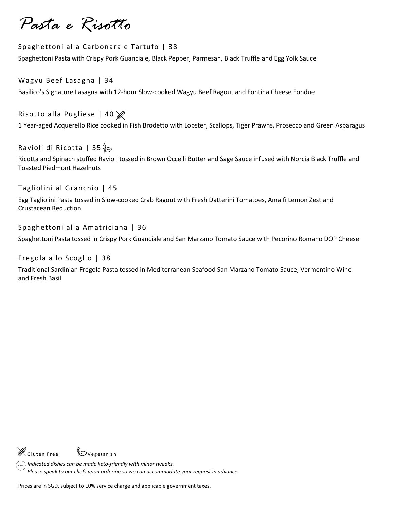*Pasta e Risotto*

#### Spaghettoni alla Carbonara e Tartufo | 38 Spaghettoni Pasta with Crispy Pork Guanciale, Black Pepper, Parmesan, Black Truffle and Egg Yolk Sauce

Wagyu Beef Lasagna | 34 Basilico's Signature Lasagna with 12-hour Slow-cooked Wagyu Beef Ragout and Fontina Cheese Fondue

Risotto alla Pugliese | 40

1 Year-aged Acquerello Rice cooked in Fish Brodetto with Lobster, Scallops, Tiger Prawns, Prosecco and Green Asparagus

Ravioli di Ricotta | 35 $\diamond$ 

Ricotta and Spinach stuffed Ravioli tossed in Brown Occelli Butter and Sage Sauce infused with Norcia Black Truffle and Toasted Piedmont Hazelnuts

Tagliolini al Granchio | 45

Egg Tagliolini Pasta tossed in Slow-cooked Crab Ragout with Fresh Datterini Tomatoes, Amalfi Lemon Zest and Crustacean Reduction

Spaghettoni alla Amatriciana | 36

Spaghettoni Pasta tossed in Crispy Pork Guanciale and San Marzano Tomato Sauce with Pecorino Romano DOP Cheese

Fregola allo Scoglio | 38

Traditional Sardinian Fregola Pasta tossed in Mediterranean Seafood San Marzano Tomato Sauce, Vermentino Wine and Fresh Basil

 $\mathscr{E}_{\mathsf{G}}$  luten Free  $\mathscr{\mathscr{G}}$  Vegetarian

 *Indicated dishes can be made keto-friendly with minor tweaks. Please speak to our chefs upon ordering so we can accommodate your request in advance.*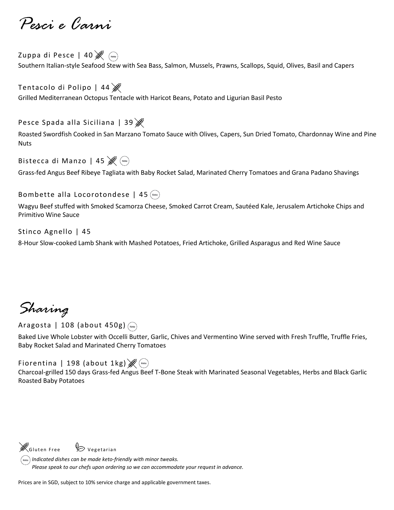*Pesci e Carni*

Zuppa di Pesce | 40<sup>8</sup> Southern Italian-style Seafood Stew with Sea Bass, Salmon, Mussels, Prawns, Scallops, Squid, Olives, Basil and Capers

Tentacolo di Polipo | 44 Grilled Mediterranean Octopus Tentacle with Haricot Beans, Potato and Ligurian Basil Pesto

Pesce Spada alla Siciliana | 39

Roasted Swordfish Cooked in San Marzano Tomato Sauce with Olives, Capers, Sun Dried Tomato, Chardonnay Wine and Pine **Nuts** 

Bistecca di Manzo | 45  $\mathscr{B}$  (Keto)

Grass-fed Angus Beef Ribeye Tagliata with Baby Rocket Salad, Marinated Cherry Tomatoes and Grana Padano Shavings

#### Bombette alla Locorotondese | 45 (keto)

Wagyu Beef stuffed with Smoked Scamorza Cheese, Smoked Carrot Cream, Sautéed Kale, Jerusalem Artichoke Chips and Primitivo Wine Sauce

Stinco Agnello | 45

8-Hour Slow-cooked Lamb Shank with Mashed Potatoes, Fried Artichoke, Grilled Asparagus and Red Wine Sauce

*Sharing*

Aragosta | 108 (about 450g)

Baked Live Whole Lobster with Occelli Butter, Garlic, Chives and Vermentino Wine served with Fresh Truffle, Truffle Fries, Baby Rocket Salad and Marinated Cherry Tomatoes

Fiorentina | 198 (about 1kg)  $\mathscr{B}$  (keto)

Charcoal-grilled 150 days Grass-fed Angus Beef T-Bone Steak with Marinated Seasonal Vegetables, Herbs and Black Garlic Roasted Baby Potatoes

 $\mathscr{E}_{\mathsf{Gluten\,Free}}$  Vegetarian

*Indicated dishes can be made keto-friendly with minor tweaks. Please speak to our chefs upon ordering so we can accommodate your request in advance.*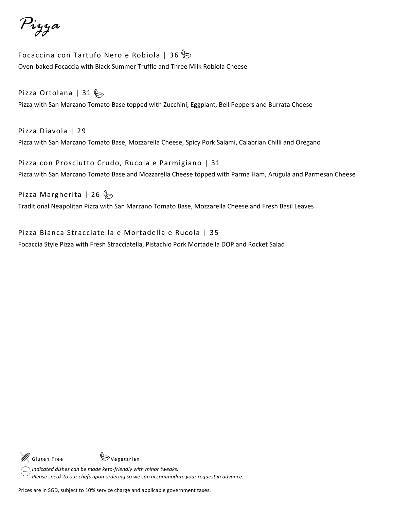*Pizza*

Focaccina con Tartufo Nero e Robiola | 36 $\%$ Oven-baked Focaccia with Black Summer Truffle and Three Milk Robiola Cheese

## Pizza Ortolana | 31  $\&$

Pizza with San Marzano Tomato Base topped with Zucchini, Eggplant, Bell Peppers and Burrata Cheese

Pizza Diavola | 29 Pizza with San Marzano Tomato Base, Mozzarella Cheese, Spicy Pork Salami, Calabrian Chilli and Oregano

Pizza con Prosciutto Crudo, Rucola e Parmigiano | 31 Pizza with San Marzano Tomato Base and Mozzarella Cheese topped with Parma Ham, Arugula and Parmesan Cheese

### Pizza Margherita | 26  $\gg$

Traditional Neapolitan Pizza with San Marzano Tomato Base, Mozzarella Cheese and Fresh Basil Leaves

Pizza Bianca Stracciatella e Mortadella e Rucola | 35 Focaccia Style Pizza with Fresh Stracciatella, Pistachio Pork Mortadella DOP and Rocket Salad



*Indicated dishes can be made keto-friendly with minor tweaks. Please speak to our chefs upon ordering so we can accommodate your request in advance.*